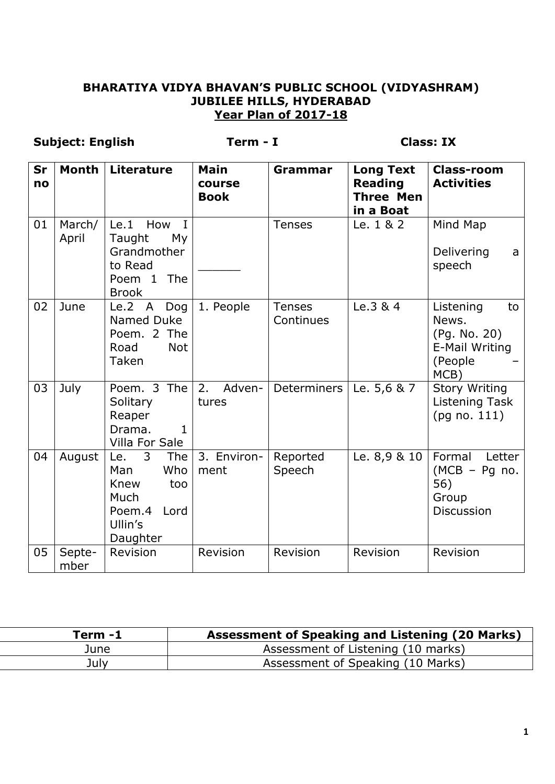#### **BHARATIYA VIDYA BHAVAN'S PUBLIC SCHOOL (VIDYASHRAM) JUBILEE HILLS, HYDERABAD Year Plan of 2017-18**

## **Subject: English Term - I Class: IX**

| Sr<br>no | <b>Month</b>    | <b>Literature</b>                                                                                     | <b>Main</b><br>course<br><b>Book</b> | Grammar                    | <b>Long Text</b><br><b>Reading</b><br><b>Three Men</b><br>in a Boat | <b>Class-room</b><br><b>Activities</b>                                        |
|----------|-----------------|-------------------------------------------------------------------------------------------------------|--------------------------------------|----------------------------|---------------------------------------------------------------------|-------------------------------------------------------------------------------|
| 01       | March/<br>April | Le.1<br>How<br>$\mathbf I$<br>My<br>Taught<br>Grandmother<br>to Read<br>The<br>Poem 1<br><b>Brook</b> |                                      | <b>Tenses</b>              | Le. 1 & 2                                                           | Mind Map<br>Delivering<br>a<br>speech                                         |
| 02       | June            | Le.2 A<br>Dog<br>Named Duke<br>Poem. 2 The<br>Road<br><b>Not</b><br>Taken                             | 1. People                            | <b>Tenses</b><br>Continues | Le.3 & 4                                                            | Listening<br>to<br>News.<br>(Pg. No. 20)<br>E-Mail Writing<br>(People<br>MCB) |
| 03       | July            | Poem. 3 The<br>Solitary<br>Reaper<br>Drama.<br>$\mathbf{1}$<br>Villa For Sale                         | 2.<br>Adven-<br>tures                | Determiners                | Le. 5,6 & 7                                                         | <b>Story Writing</b><br>Listening Task<br>(pq no. 111)                        |
| 04       | August          | 3<br>The<br>Le.<br>Who<br>Man<br>Knew<br>too<br>Much<br>Poem.4<br>Lord<br>Ullin's<br>Daughter         | 3. Environ-<br>ment                  | Reported<br>Speech         | Le. 8,9 & 10                                                        | Formal<br>Letter<br>$(MCB - Pg$ no.<br>56)<br>Group<br><b>Discussion</b>      |
| 05       | Septe-<br>mber  | Revision                                                                                              | Revision                             | Revision                   | Revision                                                            | Revision                                                                      |

| Term -1 | <b>Assessment of Speaking and Listening (20 Marks)</b> |
|---------|--------------------------------------------------------|
| June    | Assessment of Listening (10 marks)                     |
| July    | Assessment of Speaking (10 Marks)                      |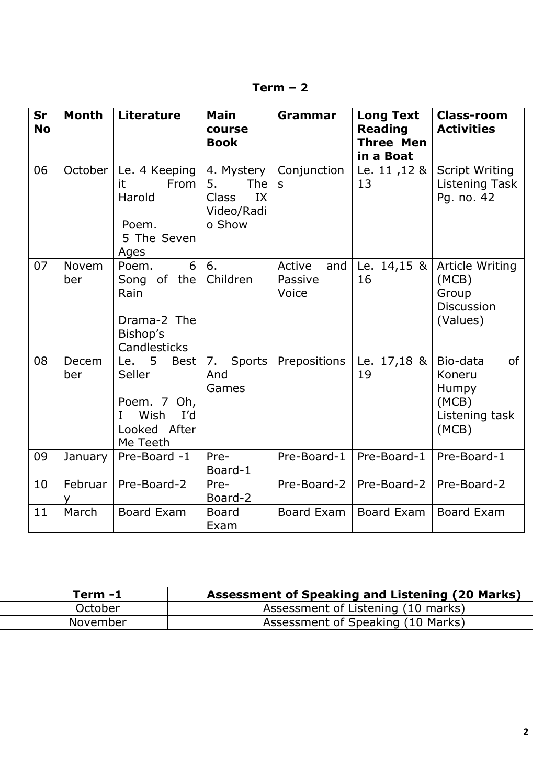| rm |  |
|----|--|
|----|--|

| <b>Sr</b><br><b>No</b> | <b>Month</b>        | <b>Literature</b>                                                                               | <b>Main</b><br>course<br><b>Book</b>                                         | Grammar                           | <b>Long Text</b><br><b>Reading</b><br><b>Three Men</b><br>in a Boat | <b>Class-room</b><br><b>Activities</b>                                |
|------------------------|---------------------|-------------------------------------------------------------------------------------------------|------------------------------------------------------------------------------|-----------------------------------|---------------------------------------------------------------------|-----------------------------------------------------------------------|
| 06                     | October             | Le. 4 Keeping<br>it<br>From<br>Harold<br>Poem.<br>5 The Seven<br>Ages                           | 4. Mystery<br>5.<br><b>The</b><br><b>Class</b><br>IX<br>Video/Radi<br>o Show | Conjunction<br>S                  | Le. 11, 12 &<br>13                                                  | <b>Script Writing</b><br>Listening Task<br>Pg. no. 42                 |
| 07                     | <b>Novem</b><br>ber | 6<br>Poem.<br>Song of the<br>Rain<br>Drama-2 The<br>Bishop's<br>Candlesticks                    | 6.<br>Children                                                               | Active<br>and<br>Passive<br>Voice | Le. $14,15 \&$<br>16                                                | Article Writing<br>(MCB)<br>Group<br><b>Discussion</b><br>(Values)    |
| 08                     | Decem<br>ber        | Le. $5$<br><b>Best</b><br>Seller<br>Poem. 7 Oh,<br>Wish<br>I'd<br>L<br>Looked After<br>Me Teeth | 7.<br>Sports<br>And<br>Games                                                 | Prepositions                      | Le. $17,18$ &<br>19                                                 | of<br>Bio-data<br>Koneru<br>Humpy<br>(MCB)<br>Listening task<br>(MCB) |
| 09                     | January             | Pre-Board -1                                                                                    | Pre-<br>Board-1                                                              | Pre-Board-1                       | Pre-Board-1                                                         | Pre-Board-1                                                           |
| 10                     | Februar             | Pre-Board-2                                                                                     | Pre-<br>Board-2                                                              | Pre-Board-2                       | Pre-Board-2                                                         | Pre-Board-2                                                           |
| 11                     | March               | <b>Board Exam</b>                                                                               | <b>Board</b><br>Exam                                                         | Board Exam                        | Board Exam                                                          | Board Exam                                                            |

| Term -1  | Assessment of Speaking and Listening (20 Marks) |
|----------|-------------------------------------------------|
| October  | Assessment of Listening (10 marks)              |
| November | Assessment of Speaking (10 Marks)               |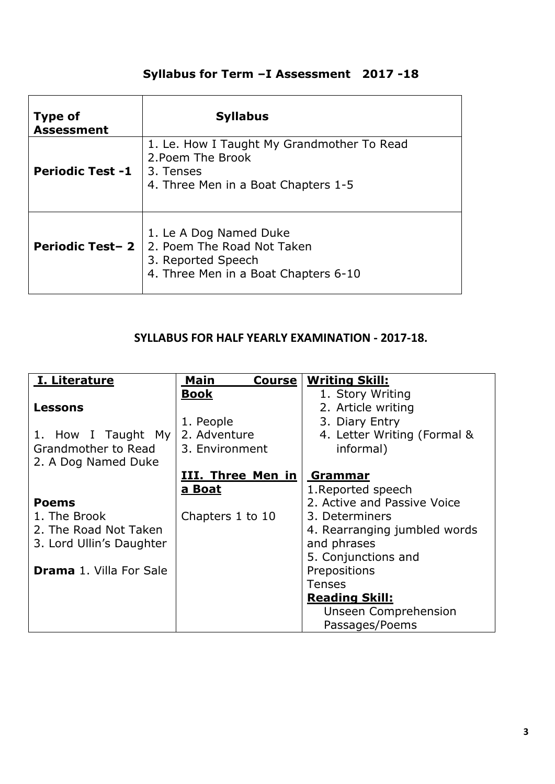# **Syllabus for Term –I Assessment 2017 -18**

| <b>Type of</b><br><b>Assessment</b> | <b>Syllabus</b>                                                                                                     |
|-------------------------------------|---------------------------------------------------------------------------------------------------------------------|
| <b>Periodic Test -1</b>             | 1. Le. How I Taught My Grandmother To Read<br>2. Poem The Brook<br>3. Tenses<br>4. Three Men in a Boat Chapters 1-5 |
| <b>Periodic Test-2</b>              | 1. Le A Dog Named Duke<br>2. Poem The Road Not Taken<br>3. Reported Speech<br>4. Three Men in a Boat Chapters 6-10  |

## **SYLLABUS FOR HALF YEARLY EXAMINATION - 2017-18.**

| I. Literature                  | Main<br><b>Course</b>    | <b>Writing Skill:</b>        |
|--------------------------------|--------------------------|------------------------------|
|                                | <b>Book</b>              | 1. Story Writing             |
| Lessons                        |                          | 2. Article writing           |
|                                | 1. People                | 3. Diary Entry               |
| 1. How I Taught My             | 2. Adventure             | 4. Letter Writing (Formal &  |
| Grandmother to Read            | 3. Environment           | informal)                    |
| 2. A Dog Named Duke            |                          |                              |
|                                | <u>III. Three Men in</u> | Grammar                      |
|                                | a Boat                   | 1. Reported speech           |
| <b>Poems</b>                   |                          | 2. Active and Passive Voice  |
| 1. The Brook                   | Chapters 1 to 10         | 3. Determiners               |
| 2. The Road Not Taken          |                          | 4. Rearranging jumbled words |
| 3. Lord Ullin's Daughter       |                          | and phrases                  |
|                                |                          | 5. Conjunctions and          |
| <b>Drama 1. Villa For Sale</b> |                          | Prepositions                 |
|                                |                          | <b>Tenses</b>                |
|                                |                          | <b>Reading Skill:</b>        |
|                                |                          | <b>Unseen Comprehension</b>  |
|                                |                          | Passages/Poems               |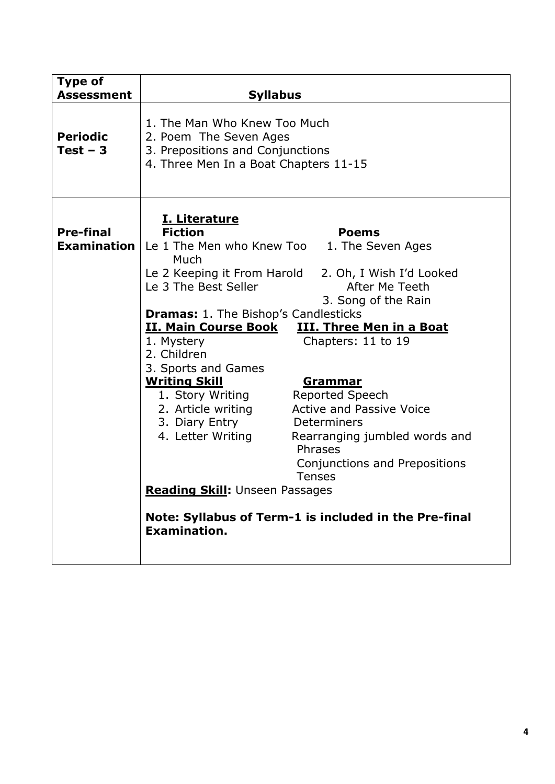| <b>Type of</b><br><b>Assessment</b> | <b>Syllabus</b>                                                                                                                                                                                                                                                                                                                                                                                                                                                                                                                                                                                                                                                                                                                                                                                                                                                              |  |  |
|-------------------------------------|------------------------------------------------------------------------------------------------------------------------------------------------------------------------------------------------------------------------------------------------------------------------------------------------------------------------------------------------------------------------------------------------------------------------------------------------------------------------------------------------------------------------------------------------------------------------------------------------------------------------------------------------------------------------------------------------------------------------------------------------------------------------------------------------------------------------------------------------------------------------------|--|--|
| <b>Periodic</b><br>$Test - 3$       | 1. The Man Who Knew Too Much<br>2. Poem The Seven Ages<br>3. Prepositions and Conjunctions<br>4. Three Men In a Boat Chapters 11-15                                                                                                                                                                                                                                                                                                                                                                                                                                                                                                                                                                                                                                                                                                                                          |  |  |
| <b>Pre-final</b>                    | <u>I. Literature</u><br><b>Fiction</b><br><b>Poems</b><br><b>Examination</b>   Le 1 The Men who Knew Too<br>1. The Seven Ages<br>Much<br>Le 2 Keeping it From Harold<br>2. Oh, I Wish I'd Looked<br>After Me Teeth<br>Le 3 The Best Seller<br>3. Song of the Rain<br><b>Dramas: 1. The Bishop's Candlesticks</b><br><u>II. Main Course Book</u><br><b>III. Three Men in a Boat</b><br>Chapters: 11 to 19<br>1. Mystery<br>2. Children<br>3. Sports and Games<br><b>Writing Skill</b><br><u>Grammar</u><br>Reported Speech<br>1. Story Writing<br><b>Active and Passive Voice</b><br>2. Article writing<br>3. Diary Entry<br>Determiners<br>4. Letter Writing<br>Rearranging jumbled words and<br>Phrases<br>Conjunctions and Prepositions<br><b>Tenses</b><br>Reading Skill: Unseen Passages<br>Note: Syllabus of Term-1 is included in the Pre-final<br><b>Examination.</b> |  |  |